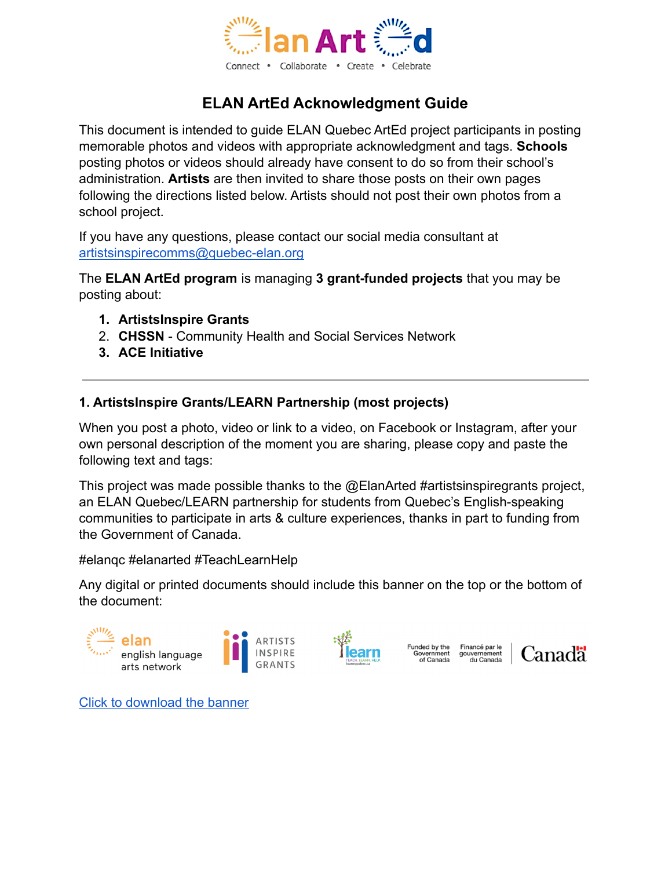

# **ELAN ArtEd Acknowledgment Guide**

This document is intended to guide ELAN Quebec ArtEd project participants in posting memorable photos and videos with appropriate acknowledgment and tags. **Schools** posting photos or videos should already have consent to do so from their school's administration. **Artists** are then invited to share those posts on their own pages following the directions listed below. Artists should not post their own photos from a school project.

If you have any questions, please contact our social media consultant at [artistsinspirecomms@quebec-elan.org](mailto:artistsinspirecomms@quebec-elan.org)

The **ELAN ArtEd program** is managing **3 grant-funded projects** that you may be posting about:

- **1. ArtistsInspire Grants**
- 2. **CHSSN** Community Health and Social Services Network
- **3. ACE Initiative**

## **1. ArtistsInspire Grants/LEARN Partnership (most projects)**

When you post a photo, video or link to a video, on Facebook or Instagram, after your own personal description of the moment you are sharing, please copy and paste the following text and tags:

This project was made possible thanks to the @ElanArted #artistsinspiregrants project, an ELAN Quebec/LEARN partnership for students from Quebec's English-speaking communities to participate in arts & culture experiences, thanks in part to funding from the Government of Canada.

#elanqc #elanarted #TeachLearnHelp

Any digital or printed documents should include this banner on the top or the bottom of the document:





Funded by the Financé par le Government gouvernement<br>of Canada du Canada



[Click to download the banner](https://drive.google.com/file/d/1o8xHaSzC2KGMF1zHiQ7Bpb2nN8YMP3bl/view?usp=sharing)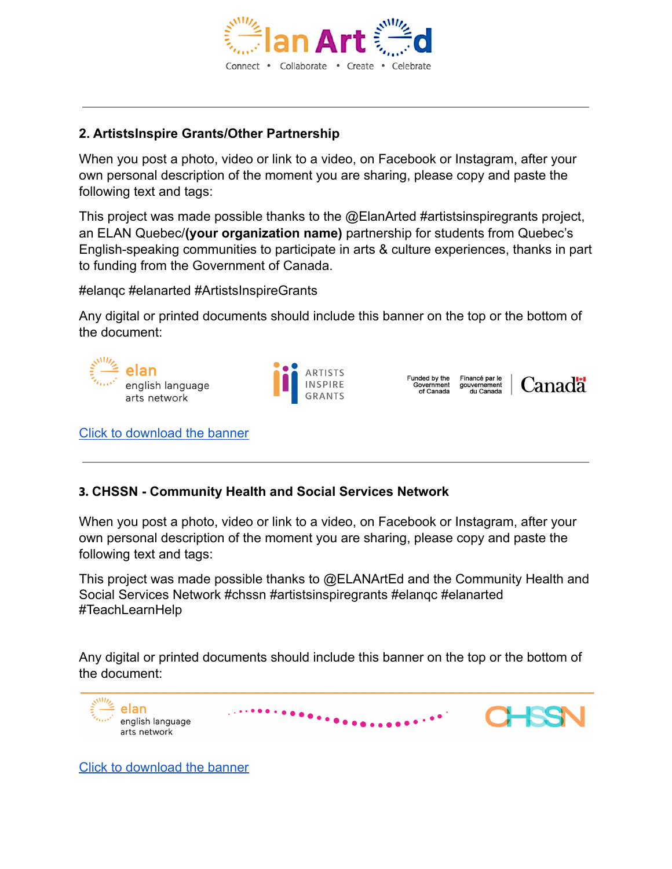

### **2. ArtistsInspire Grants/Other Partnership**

When you post a photo, video or link to a video, on Facebook or Instagram, after your own personal description of the moment you are sharing, please copy and paste the following text and tags:

This project was made possible thanks to the @ElanArted #artistsinspiregrants project, an ELAN Quebec/**(your organization name)** partnership for students from Quebec's English-speaking communities to participate in arts & culture experiences, thanks in part to funding from the Government of Canada.

#elanqc #elanarted #ArtistsInspireGrants

Any digital or printed documents should include this banner on the top or the bottom of the document:



#### **3. CHSSN - Community Health and Social Services Network**

When you post a photo, video or link to a video, on Facebook or Instagram, after your own personal description of the moment you are sharing, please copy and paste the following text and tags:

This project was made possible thanks to @ELANArtEd and the Community Health and Social Services Network #chssn #artistsinspiregrants #elanqc #elanarted #TeachLearnHelp

Any digital or printed documents should include this banner on the top or the bottom of the document:



[Click to download the banner](https://drive.google.com/file/d/1pl_drVXXtjPUEb3y90mTwfUQRQ7CEr-n/view?usp=sharing)